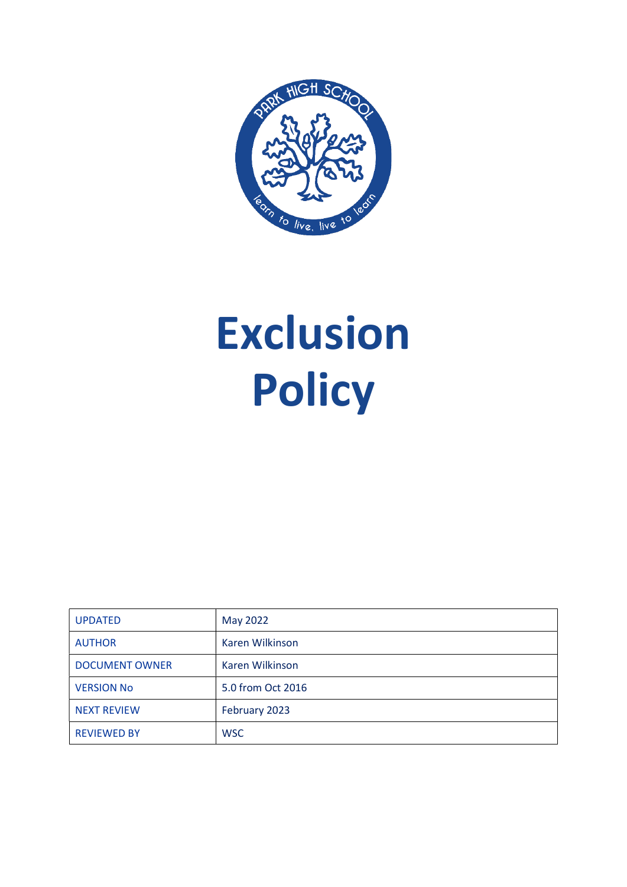

# Exclusion Policy

| <b>UPDATED</b>        | May 2022          |
|-----------------------|-------------------|
| <b>AUTHOR</b>         | Karen Wilkinson   |
| <b>DOCUMENT OWNER</b> | Karen Wilkinson   |
| <b>VERSION No</b>     | 5.0 from Oct 2016 |
| <b>NEXT REVIEW</b>    | February 2023     |
| <b>REVIEWED BY</b>    | <b>WSC</b>        |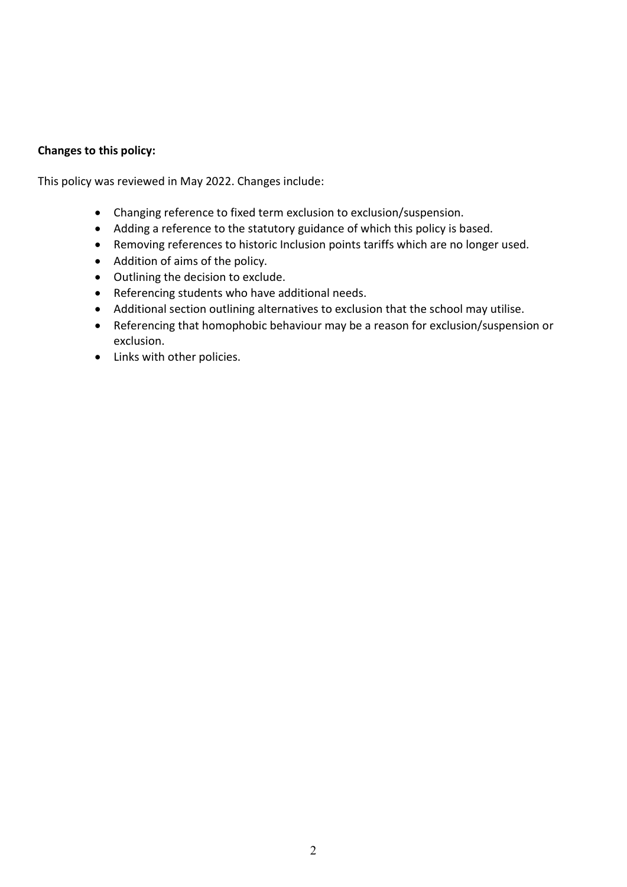# Changes to this policy:

This policy was reviewed in May 2022. Changes include:

- Changing reference to fixed term exclusion to exclusion/suspension.
- Adding a reference to the statutory guidance of which this policy is based.
- Removing references to historic Inclusion points tariffs which are no longer used.
- Addition of aims of the policy.
- Outlining the decision to exclude.
- Referencing students who have additional needs.
- Additional section outlining alternatives to exclusion that the school may utilise.
- Referencing that homophobic behaviour may be a reason for exclusion/suspension or exclusion.
- Links with other policies.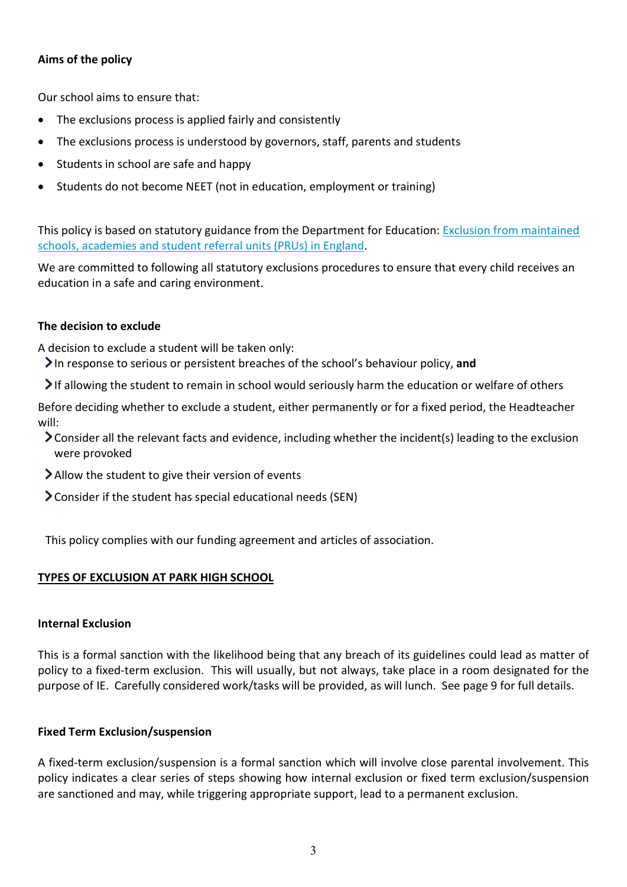# Aims of the policy

Our school aims to ensure that:

- The exclusions process is applied fairly and consistently
- The exclusions process is understood by governors, staff, parents and students
- Students in school are safe and happy
- Students do not become NEET (not in education, employment or training)

This policy is based on statutory guidance from the Department for Education: Exclusion from maintained schools, academies and student referral units (PRUs) in England.

We are committed to following all statutory exclusions procedures to ensure that every child receives an education in a safe and caring environment.

## The decision to exclude

A decision to exclude a student will be taken only:

- In response to serious or persistent breaches of the school's behaviour policy, and
- If allowing the student to remain in school would seriously harm the education or welfare of others

Before deciding whether to exclude a student, either permanently or for a fixed period, the Headteacher will:

- Consider all the relevant facts and evidence, including whether the incident(s) leading to the exclusion were provoked
- Allow the student to give their version of events
- Consider if the student has special educational needs (SEN)

This policy complies with our funding agreement and articles of association.

# TYPES OF EXCLUSION AT PARK HIGH SCHOOL

#### Internal Exclusion

This is a formal sanction with the likelihood being that any breach of its guidelines could lead as matter of policy to a fixed-term exclusion. This will usually, but not always, take place in a room designated for the purpose of IE. Carefully considered work/tasks will be provided, as will lunch. See page 9 for full details.

#### Fixed Term Exclusion/suspension

A fixed-term exclusion/suspension is a formal sanction which will involve close parental involvement. This policy indicates a clear series of steps showing how internal exclusion or fixed term exclusion/suspension are sanctioned and may, while triggering appropriate support, lead to a permanent exclusion.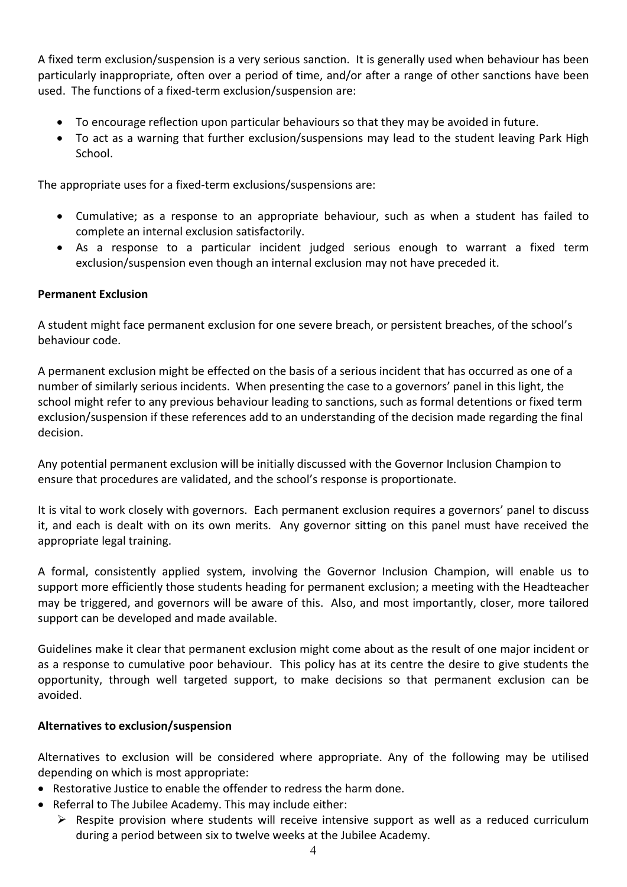A fixed term exclusion/suspension is a very serious sanction. It is generally used when behaviour has been particularly inappropriate, often over a period of time, and/or after a range of other sanctions have been used. The functions of a fixed-term exclusion/suspension are:

- To encourage reflection upon particular behaviours so that they may be avoided in future.
- To act as a warning that further exclusion/suspensions may lead to the student leaving Park High School.

The appropriate uses for a fixed-term exclusions/suspensions are:

- Cumulative; as a response to an appropriate behaviour, such as when a student has failed to complete an internal exclusion satisfactorily.
- As a response to a particular incident judged serious enough to warrant a fixed term exclusion/suspension even though an internal exclusion may not have preceded it.

## Permanent Exclusion

A student might face permanent exclusion for one severe breach, or persistent breaches, of the school's behaviour code.

A permanent exclusion might be effected on the basis of a serious incident that has occurred as one of a number of similarly serious incidents. When presenting the case to a governors' panel in this light, the school might refer to any previous behaviour leading to sanctions, such as formal detentions or fixed term exclusion/suspension if these references add to an understanding of the decision made regarding the final decision.

Any potential permanent exclusion will be initially discussed with the Governor Inclusion Champion to ensure that procedures are validated, and the school's response is proportionate.

It is vital to work closely with governors. Each permanent exclusion requires a governors' panel to discuss it, and each is dealt with on its own merits. Any governor sitting on this panel must have received the appropriate legal training.

A formal, consistently applied system, involving the Governor Inclusion Champion, will enable us to support more efficiently those students heading for permanent exclusion; a meeting with the Headteacher may be triggered, and governors will be aware of this. Also, and most importantly, closer, more tailored support can be developed and made available.

Guidelines make it clear that permanent exclusion might come about as the result of one major incident or as a response to cumulative poor behaviour. This policy has at its centre the desire to give students the opportunity, through well targeted support, to make decisions so that permanent exclusion can be avoided.

#### Alternatives to exclusion/suspension

Alternatives to exclusion will be considered where appropriate. Any of the following may be utilised depending on which is most appropriate:

- Restorative Justice to enable the offender to redress the harm done.
- Referral to The Jubilee Academy. This may include either:
	- $\triangleright$  Respite provision where students will receive intensive support as well as a reduced curriculum during a period between six to twelve weeks at the Jubilee Academy.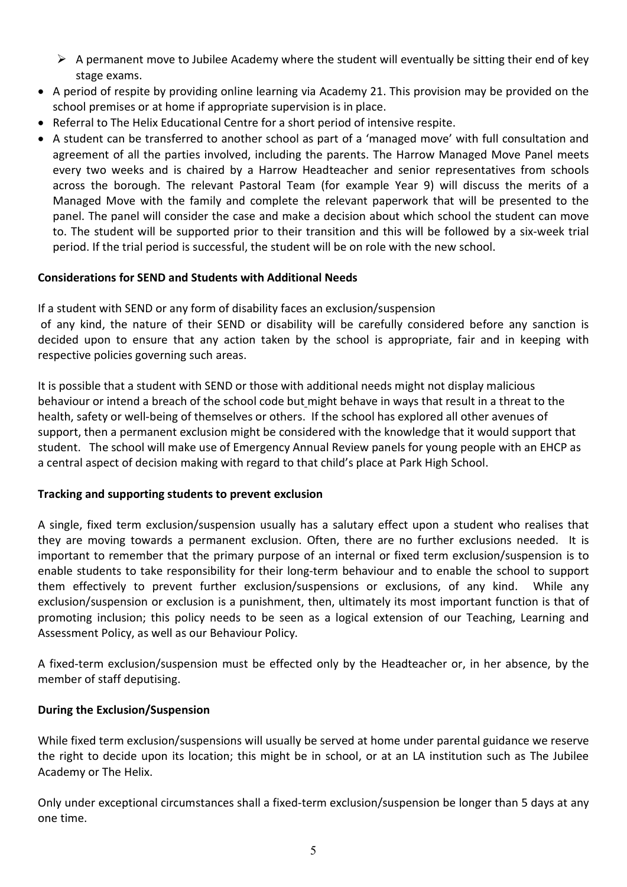- $\triangleright$  A permanent move to Jubilee Academy where the student will eventually be sitting their end of key stage exams.
- A period of respite by providing online learning via Academy 21. This provision may be provided on the school premises or at home if appropriate supervision is in place.
- Referral to The Helix Educational Centre for a short period of intensive respite.
- A student can be transferred to another school as part of a 'managed move' with full consultation and agreement of all the parties involved, including the parents. The Harrow Managed Move Panel meets every two weeks and is chaired by a Harrow Headteacher and senior representatives from schools across the borough. The relevant Pastoral Team (for example Year 9) will discuss the merits of a Managed Move with the family and complete the relevant paperwork that will be presented to the panel. The panel will consider the case and make a decision about which school the student can move to. The student will be supported prior to their transition and this will be followed by a six-week trial period. If the trial period is successful, the student will be on role with the new school.

## Considerations for SEND and Students with Additional Needs

If a student with SEND or any form of disability faces an exclusion/suspension

 of any kind, the nature of their SEND or disability will be carefully considered before any sanction is decided upon to ensure that any action taken by the school is appropriate, fair and in keeping with respective policies governing such areas.

It is possible that a student with SEND or those with additional needs might not display malicious behaviour or intend a breach of the school code but might behave in ways that result in a threat to the health, safety or well-being of themselves or others. If the school has explored all other avenues of support, then a permanent exclusion might be considered with the knowledge that it would support that student. The school will make use of Emergency Annual Review panels for young people with an EHCP as a central aspect of decision making with regard to that child's place at Park High School.

# Tracking and supporting students to prevent exclusion

A single, fixed term exclusion/suspension usually has a salutary effect upon a student who realises that they are moving towards a permanent exclusion. Often, there are no further exclusions needed. It is important to remember that the primary purpose of an internal or fixed term exclusion/suspension is to enable students to take responsibility for their long-term behaviour and to enable the school to support them effectively to prevent further exclusion/suspensions or exclusions, of any kind. While any exclusion/suspension or exclusion is a punishment, then, ultimately its most important function is that of promoting inclusion; this policy needs to be seen as a logical extension of our Teaching, Learning and Assessment Policy, as well as our Behaviour Policy.

A fixed-term exclusion/suspension must be effected only by the Headteacher or, in her absence, by the member of staff deputising.

# During the Exclusion/Suspension

While fixed term exclusion/suspensions will usually be served at home under parental guidance we reserve the right to decide upon its location; this might be in school, or at an LA institution such as The Jubilee Academy or The Helix.

Only under exceptional circumstances shall a fixed-term exclusion/suspension be longer than 5 days at any one time.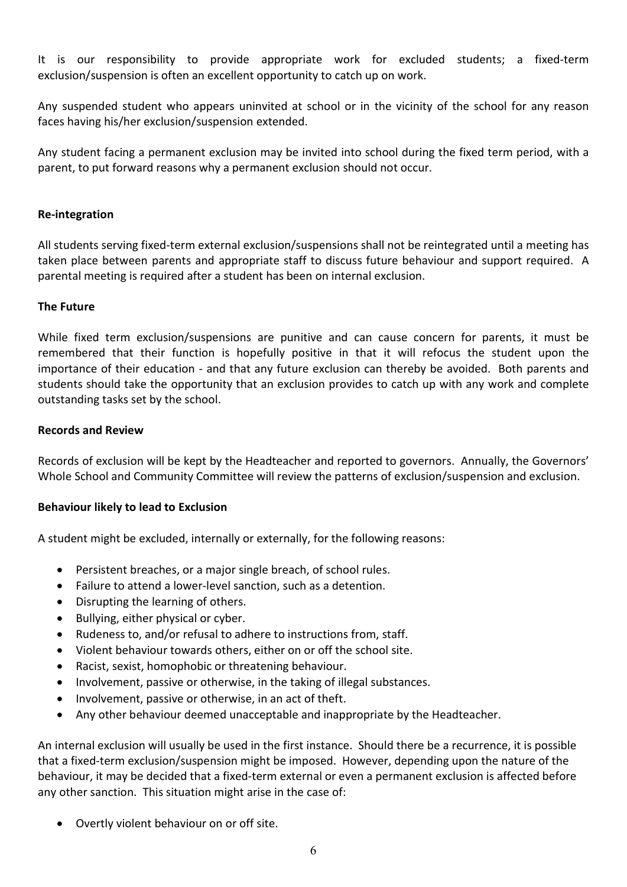It is our responsibility to provide appropriate work for excluded students; a fixed-term exclusion/suspension is often an excellent opportunity to catch up on work.

Any suspended student who appears uninvited at school or in the vicinity of the school for any reason faces having his/her exclusion/suspension extended.

Any student facing a permanent exclusion may be invited into school during the fixed term period, with a parent, to put forward reasons why a permanent exclusion should not occur.

## Re-integration

All students serving fixed-term external exclusion/suspensions shall not be reintegrated until a meeting has taken place between parents and appropriate staff to discuss future behaviour and support required. A parental meeting is required after a student has been on internal exclusion.

## The Future

While fixed term exclusion/suspensions are punitive and can cause concern for parents, it must be remembered that their function is hopefully positive in that it will refocus the student upon the importance of their education - and that any future exclusion can thereby be avoided. Both parents and students should take the opportunity that an exclusion provides to catch up with any work and complete outstanding tasks set by the school.

#### Records and Review

Records of exclusion will be kept by the Headteacher and reported to governors. Annually, the Governors' Whole School and Community Committee will review the patterns of exclusion/suspension and exclusion.

#### Behaviour likely to lead to Exclusion

A student might be excluded, internally or externally, for the following reasons:

- Persistent breaches, or a major single breach, of school rules.
- Failure to attend a lower-level sanction, such as a detention.
- Disrupting the learning of others.
- Bullying, either physical or cyber.
- Rudeness to, and/or refusal to adhere to instructions from, staff.
- Violent behaviour towards others, either on or off the school site.
- Racist, sexist, homophobic or threatening behaviour.
- Involvement, passive or otherwise, in the taking of illegal substances.
- Involvement, passive or otherwise, in an act of theft.
- Any other behaviour deemed unacceptable and inappropriate by the Headteacher.

An internal exclusion will usually be used in the first instance. Should there be a recurrence, it is possible that a fixed-term exclusion/suspension might be imposed. However, depending upon the nature of the behaviour, it may be decided that a fixed-term external or even a permanent exclusion is affected before any other sanction. This situation might arise in the case of:

Overtly violent behaviour on or off site.